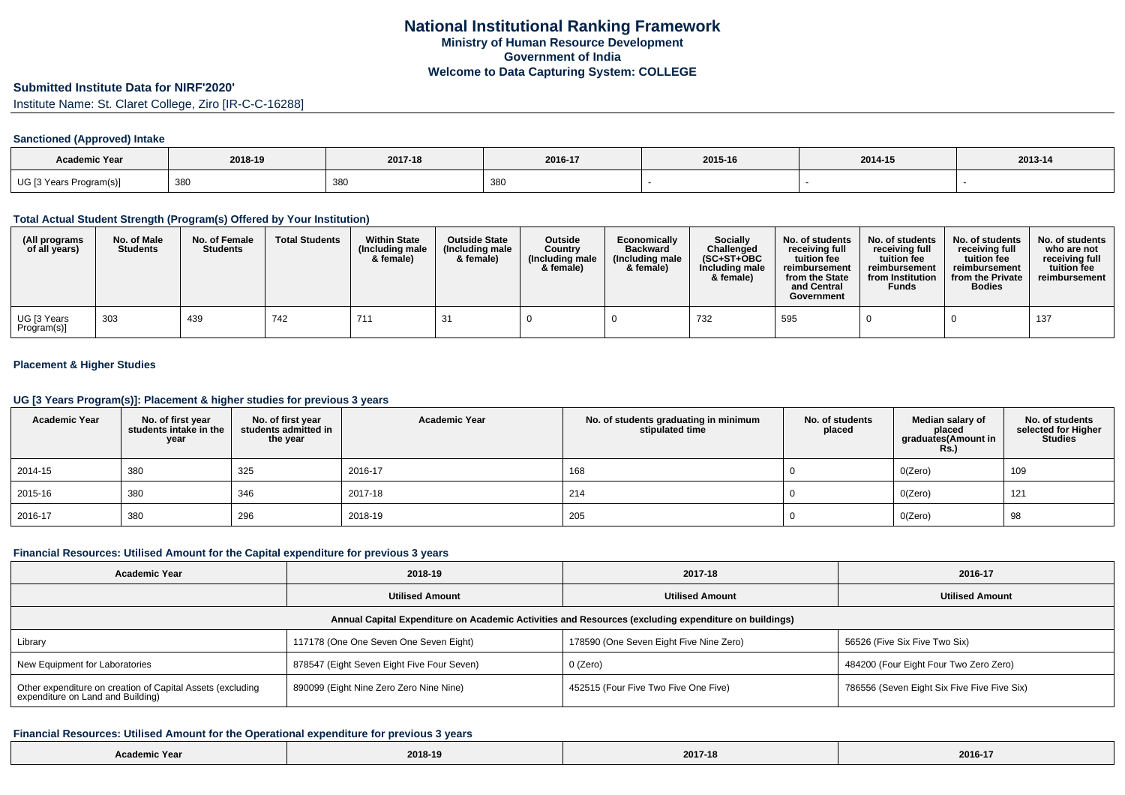### **Submitted Institute Data for NIRF'2020'**

Institute Name: St. Claret College, Ziro [IR-C-C-16288]

#### **Sanctioned (Approved) Intake**

| Academic Year           |         |         |             |         |         |         |
|-------------------------|---------|---------|-------------|---------|---------|---------|
|                         | 2018-19 | 2017-18 | 2016-17     | 2015-16 | 2014-15 | 2013-14 |
| UG [3 Years Program(s)] | 380     | 380     | 38.<br>ັບບູ |         |         |         |

## **Total Actual Student Strength (Program(s) Offered by Your Institution)**

| (All programs<br>of all years) | No. of Male<br><b>Students</b> | No. of Female<br><b>Students</b> | <b>Total Students</b> | <b>Within State</b><br>(Including male<br>& female) | <b>Outside State</b><br>(Including male<br>& female) | Outside<br>Country<br>(Including male<br>& female) | Economically<br><b>Backward</b><br>(Including male<br>& female) | <b>Socially</b><br>Challenged<br>$(SC+ST+OBC$<br>Including male<br>& female) | No. of students<br>receivina full<br>tuition fee<br>reimbursement<br>from the State<br>and Central<br>Government | No. of students<br>receiving full<br>tuition fee<br>reimbursement<br>from Institution<br><b>Funds</b> | No. of students<br>receiving full<br>tuition fee<br>reimbursement<br>from the Private<br><b>Bodies</b> | No. of students  <br>who are not<br>receivina full<br>tuition fee<br>reimbursement |
|--------------------------------|--------------------------------|----------------------------------|-----------------------|-----------------------------------------------------|------------------------------------------------------|----------------------------------------------------|-----------------------------------------------------------------|------------------------------------------------------------------------------|------------------------------------------------------------------------------------------------------------------|-------------------------------------------------------------------------------------------------------|--------------------------------------------------------------------------------------------------------|------------------------------------------------------------------------------------|
| UG [3 Years<br>Program(s)]     | 303                            | 439                              | 742                   | 71'                                                 | 21                                                   |                                                    |                                                                 | 732                                                                          | 595                                                                                                              |                                                                                                       |                                                                                                        | 137                                                                                |

# **Placement & Higher Studies**

### **UG [3 Years Program(s)]: Placement & higher studies for previous 3 years**

| <b>Academic Year</b> | No. of first year<br>students intake in the<br>year | No. of first vear<br>students admitted in<br>the year | <b>Academic Year</b> | No. of students graduating in minimum<br>stipulated time | No. of students<br>placed | Median salary of<br>placed<br>graduates(Amount in<br><b>Rs.)</b> | No. of students<br>selected for Higher<br><b>Studies</b> |
|----------------------|-----------------------------------------------------|-------------------------------------------------------|----------------------|----------------------------------------------------------|---------------------------|------------------------------------------------------------------|----------------------------------------------------------|
| 2014-15              | 380                                                 | 325                                                   | 2016-17              | 168                                                      |                           | O(Zero)                                                          | 109                                                      |
| 2015-16              | 380                                                 | 346                                                   | 2017-18              | 214                                                      |                           | O(Zero)                                                          | 121                                                      |
| 2016-17              | 380                                                 | 296                                                   | 2018-19              | 205                                                      |                           | O(Zero)                                                          | 98                                                       |

#### **Financial Resources: Utilised Amount for the Capital expenditure for previous 3 years**

| <b>Academic Year</b>                                                                                 | 2018-19                                    | 2017-18                                 | 2016-17                                     |  |  |  |  |  |  |
|------------------------------------------------------------------------------------------------------|--------------------------------------------|-----------------------------------------|---------------------------------------------|--|--|--|--|--|--|
|                                                                                                      | <b>Utilised Amount</b>                     | <b>Utilised Amount</b>                  | <b>Utilised Amount</b>                      |  |  |  |  |  |  |
| Annual Capital Expenditure on Academic Activities and Resources (excluding expenditure on buildings) |                                            |                                         |                                             |  |  |  |  |  |  |
| Library                                                                                              | 117178 (One One Seven One Seven Eight)     | 178590 (One Seven Eight Five Nine Zero) | 56526 (Five Six Five Two Six)               |  |  |  |  |  |  |
| New Equipment for Laboratories                                                                       | 878547 (Eight Seven Eight Five Four Seven) | 0 (Zero)                                | 484200 (Four Eight Four Two Zero Zero)      |  |  |  |  |  |  |
| Other expenditure on creation of Capital Assets (excluding<br>expenditure on Land and Building)      | 890099 (Eight Nine Zero Zero Nine Nine)    | 452515 (Four Five Two Five One Five)    | 786556 (Seven Eight Six Five Five Five Six) |  |  |  |  |  |  |

#### **Financial Resources: Utilised Amount for the Operational expenditure for previous 3 years**

|          | 2018-19 | $    -$ | 2016-17       |
|----------|---------|---------|---------------|
| າເc Year |         | 2017-1  | $\sim$ $\sim$ |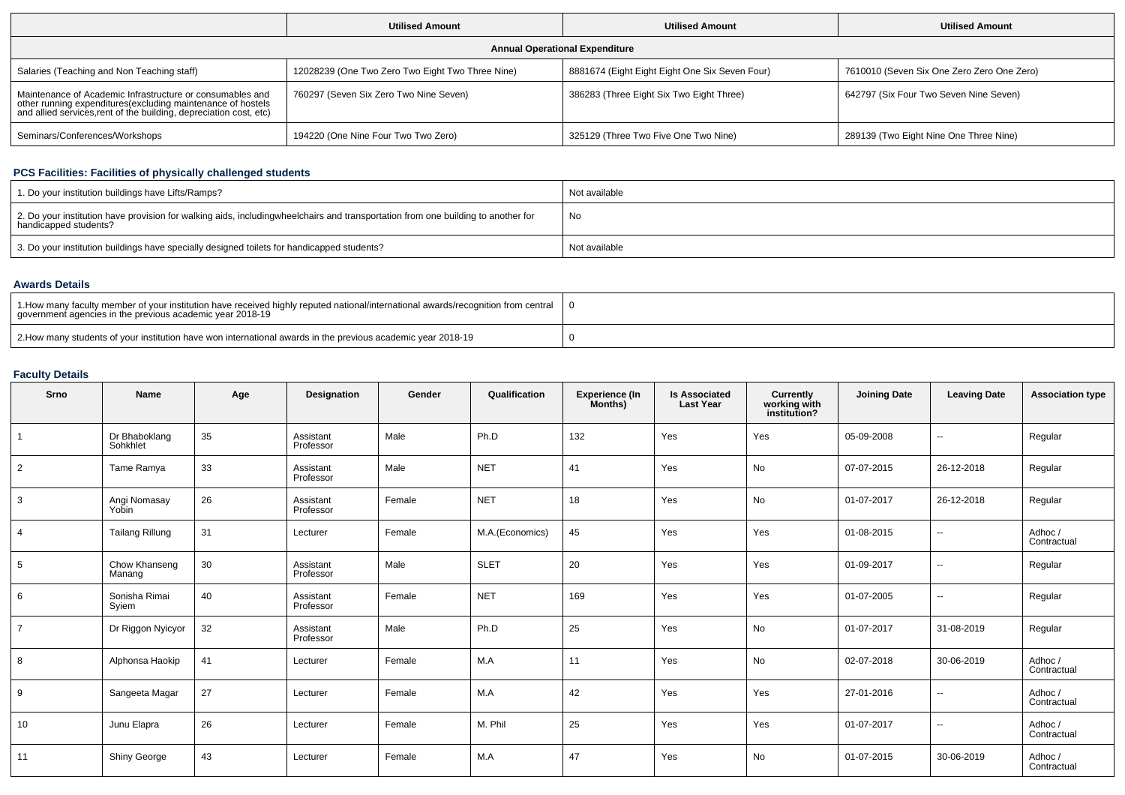|                                                                                                                                                                                                 | <b>Utilised Amount</b>                           | <b>Utilised Amount</b>                         | <b>Utilised Amount</b>                     |  |  |  |  |  |  |
|-------------------------------------------------------------------------------------------------------------------------------------------------------------------------------------------------|--------------------------------------------------|------------------------------------------------|--------------------------------------------|--|--|--|--|--|--|
| <b>Annual Operational Expenditure</b>                                                                                                                                                           |                                                  |                                                |                                            |  |  |  |  |  |  |
| Salaries (Teaching and Non Teaching staff)                                                                                                                                                      | 12028239 (One Two Zero Two Eight Two Three Nine) | 8881674 (Eight Eight Eight One Six Seven Four) | 7610010 (Seven Six One Zero Zero One Zero) |  |  |  |  |  |  |
| Maintenance of Academic Infrastructure or consumables and<br>other running expenditures (excluding maintenance of hostels<br>and allied services, rent of the building, depreciation cost, etc) | 760297 (Seven Six Zero Two Nine Seven)           | 386283 (Three Eight Six Two Eight Three)       | 642797 (Six Four Two Seven Nine Seven)     |  |  |  |  |  |  |
| Seminars/Conferences/Workshops                                                                                                                                                                  | 194220 (One Nine Four Two Two Zero)              | 325129 (Three Two Five One Two Nine)           | 289139 (Two Eight Nine One Three Nine)     |  |  |  |  |  |  |

# **PCS Facilities: Facilities of physically challenged students**

| 1. Do your institution buildings have Lifts/Ramps?                                                                                                        | Not available |
|-----------------------------------------------------------------------------------------------------------------------------------------------------------|---------------|
| 2. Do your institution have provision for walking aids, includingwheelchairs and transportation from one building to another for<br>handicapped students? | No            |
| 3. Do your institution buildings have specially designed toilets for handicapped students?                                                                | Not available |

## **Awards Details**

| 1. How many faculty member of your institution have received highly reputed national/international awards/recognition from central<br>government agencies in the previous academic year 2018-19 |  |
|-------------------------------------------------------------------------------------------------------------------------------------------------------------------------------------------------|--|
| 2. How many students of your institution have won international awards in the previous academic year 2018-19                                                                                    |  |

# **Faculty Details**

| Srno            | Name                      | Age | Designation            | Gender | Qualification   | <b>Experience (In</b><br>Months) | <b>Is Associated</b><br><b>Last Year</b> | Currently<br>working with<br>institution? | <b>Joining Date</b> | <b>Leaving Date</b>      | <b>Association type</b> |
|-----------------|---------------------------|-----|------------------------|--------|-----------------|----------------------------------|------------------------------------------|-------------------------------------------|---------------------|--------------------------|-------------------------|
|                 | Dr Bhaboklang<br>Sohkhlet | 35  | Assistant<br>Professor | Male   | Ph.D            | 132                              | Yes                                      | Yes                                       | 05-09-2008          | $\overline{a}$           | Regular                 |
| 2               | Tame Ramya                | 33  | Assistant<br>Professor | Male   | <b>NET</b>      | 41                               | Yes                                      | No                                        | 07-07-2015          | 26-12-2018               | Regular                 |
| 3               | Angi Nomasay<br>Yobin     | 26  | Assistant<br>Professor | Female | <b>NET</b>      | 18                               | Yes                                      | No                                        | 01-07-2017          | 26-12-2018               | Regular                 |
| $\overline{4}$  | <b>Tailang Rillung</b>    | 31  | Lecturer               | Female | M.A.(Economics) | 45                               | Yes                                      | Yes                                       | 01-08-2015          | $\sim$                   | Adhoc /<br>Contractual  |
| $5\overline{5}$ | Chow Khanseng<br>Manang   | 30  | Assistant<br>Professor | Male   | <b>SLET</b>     | 20                               | Yes                                      | Yes                                       | 01-09-2017          | $\overline{\phantom{a}}$ | Regular                 |
| 6               | Sonisha Rimai<br>Syiem    | 40  | Assistant<br>Professor | Female | <b>NET</b>      | 169                              | Yes                                      | Yes                                       | 01-07-2005          | $\sim$                   | Regular                 |
| $\overline{7}$  | Dr Riggon Nyicyor         | 32  | Assistant<br>Professor | Male   | Ph.D            | 25                               | Yes                                      | No                                        | 01-07-2017          | 31-08-2019               | Regular                 |
| 8               | Alphonsa Haokip           | 41  | Lecturer               | Female | M.A             | 11                               | Yes                                      | No                                        | 02-07-2018          | 30-06-2019               | Adhoc/<br>Contractual   |
| 9               | Sangeeta Magar            | 27  | Lecturer               | Female | M.A             | 42                               | Yes                                      | Yes                                       | 27-01-2016          | $\overline{\phantom{a}}$ | Adhoc/<br>Contractual   |
| 10              | Junu Elapra               | 26  | Lecturer               | Female | M. Phil         | 25                               | Yes                                      | Yes                                       | 01-07-2017          | $\overline{\phantom{a}}$ | Adhoc/<br>Contractual   |
| 11              | <b>Shiny George</b>       | 43  | Lecturer               | Female | M.A             | 47                               | Yes                                      | No                                        | 01-07-2015          | 30-06-2019               | Adhoc/<br>Contractual   |